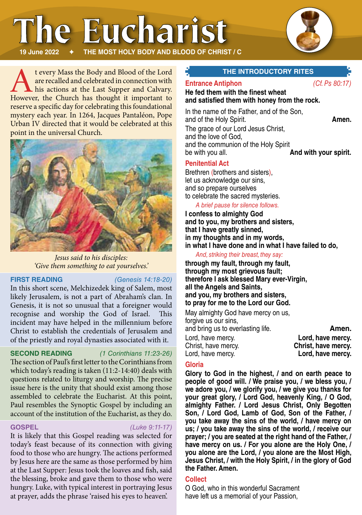t every Mass the Body and Blood of the Lord are recalled and celebrated in connection with his actions at the Last Supper and Calvary. However, the Church has thought it important to reserve a specific day for celebrating this foundational mystery each year. In 1264, Jacques Pantaléon, Pope Urban IV directed that it would be celebrated at this point in the universal Church.

**19 June 2022** ✦ **THE MOST HOLY BODY AND BLOOD OF CHRIST / C**

The Eucharist



*Jesus said to his disciples: 'Give them something to eat yourselves.'*

#### **FIRST READING** *(Genesis 14:18-20)*

In this short scene, Melchizedek king of Salem, most likely Jerusalem, is not a part of Abraham's clan. In Genesis, it is not so unusual that a foreigner would recognise and worship the God of Israel. This incident may have helped in the millennium before Christ to establish the credentials of Jerusalem and of the priestly and royal dynasties associated with it.

#### **SECOND READING** *(1 Corinthians 11:23-26)*

The section of Paul's first letter to the Corinthians from which today's reading is taken (11:2-14:40) deals with questions related to liturgy and worship. The precise issue here is the unity that should exist among those assembled to celebrate the Eucharist. At this point, Paul resembles the Synoptic Gospel by including an account of the institution of the Eucharist, as they do.

#### **GOSPEL** *(Luke 9:11-17)*

It is likely that this Gospel reading was selected for today's feast because of its connection with giving food to those who are hungry. The actions performed by Jesus here are the same as those performed by him at the Last Supper: Jesus took the loaves and fish, said the blessing, broke and gave them to those who were hungry. Luke, with typical interest in portraying Jesus at prayer, adds the phrase 'raised his eyes to heaven'.

**THE INTRODUCTORY RITES**

**Entrance Antiphon** *(Cf. Ps 80:17)*

#### **He fed them with the finest wheat and satisfied them with honey from the rock.**

In the name of the Father, and of the Son, and of the Holy Spirit. **Amen.** The grace of our Lord Jesus Christ, and the love of God, and the communion of the Holy Spirit be with you all. **And with your spirit.**

#### **Penitential Act**

Brethren (brothers and sisters), let us acknowledge our sins, and so prepare ourselves to celebrate the sacred mysteries.

*A brief pause for silence follows.*

**I confess to almighty God and to you, my brothers and sisters, that I have greatly sinned, in my thoughts and in my words, in what I have done and in what I have failed to do,**

#### *And, striking their breast, they say:*

**through my fault, through my fault, through my most grievous fault; therefore I ask blessed Mary ever-Virgin, all the Angels and Saints, and you, my brothers and sisters, to pray for me to the Lord our God.**

May almighty God have mercy on us, forgive us our sins. and bring us to everlasting life. **Amen.**

Lord, have mercy. **Lord, have mercy.** Christ, have mercy. **Christ, have mercy.** Lord, have mercy. **Lord, have mercy.**

#### **Gloria**

**Glory to God in the highest, / and on earth peace to people of good will. / We praise you, / we bless you, / we adore you, / we glorify you, / we give you thanks for your great glory, / Lord God, heavenly King, / O God, almighty Father. / Lord Jesus Christ, Only Begotten Son, / Lord God, Lamb of God, Son of the Father, / you take away the sins of the world, / have mercy on us; / you take away the sins of the world, / receive our prayer; / you are seated at the right hand of the Father, / have mercy on us. / For you alone are the Holy One, / you alone are the Lord, / you alone are the Most High, Jesus Christ, / with the Holy Spirit, / in the glory of God the Father. Amen.**

#### **Collect**

O God, who in this wonderful Sacrament have left us a memorial of your Passion,

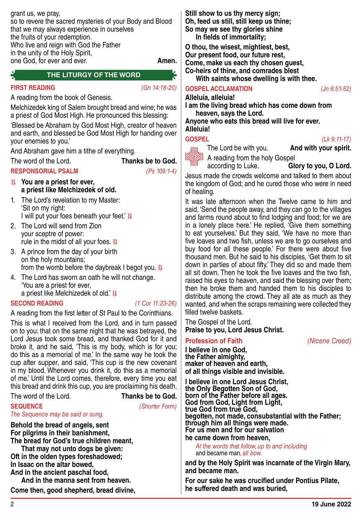grant us, we pray,

so to revere the sacred mysteries of your Body and Blood that we may always experience in ourselves the fruits of your redemption. Who live and reign with God the Father in the unity of the Holy Spirit, one God, for ever and ever. **Amen.**

### **THE LITURGY OF THE WORD**

**FIRST READING** *(Gn 14:18-20)*

A reading from the book of Genesis.

Melchizedek king of Salem brought bread and wine; he was a priest of God Most High. He pronounced this blessing:

'Blessed be Abraham by God Most High, creator of heaven and earth, and blessed be God Most High for handing over your enemies to you.'

And Abraham gave him a tithe of everything.

The word of the Lord. **Thanks be to God.**

**RESPONSORIAL PSALM** *(Ps 109:1-4)*

- ℞ **You are a priest for ever, a priest like Melchizedek of old.**
- 1. The Lord's revelation to my Master: 'Sit on my right: I will put your foes beneath your feet.'  $\mathbb R$
- 2. The Lord will send from Zion your sceptre of power: rule in the midst of all your foes.  $\mathbf R$
- 3. A prince from the day of your birth on the holy mountains; from the womb before the daybreak I begot you.  $\mathbb R$
- 4. The Lord has sworn an oath he will not change. 'You are a priest for ever, a priest like Melchizedek of old.'  $\mathbf R$

## **SECOND READING** *(1 Cor 11:23-26)*

A reading from the first letter of St Paul to the Corinthians.

This is what I received from the Lord, and in turn passed on to you: that on the same night that he was betrayed, the Lord Jesus took some bread, and thanked God for it and broke it, and he said, 'This is my body, which is for you; do this as a memorial of me.' In the same way he took the cup after supper, and said, 'This cup is the new covenant in my blood. Whenever you drink it, do this as a memorial of me.' Until the Lord comes, therefore, every time you eat this bread and drink this cup, you are proclaiming his death. The word of the Lord. **Thanks be to God.**

### **SEQUENCE** *(Shorter Form)*

*The Sequence may be said or sung.*

**Behold the bread of angels, sent For pilgrims in their banishment, The bread for God's true children meant,**

**That may not unto dogs be given: Oft in the olden types foreshadowed; In Isaac on the altar bowed, And in the ancient paschal food,**

**And in the manna sent from heaven.**

**Come then, good shepherd, bread divine,**

**Still show to us thy mercy sign; Oh, feed us still, still keep us thine; So may we see thy glories shine In fields of immortality;**

**O thou, the wisest, mightiest, best, Our present food, our future rest, Come, make us each thy chosen guest, Co-heirs of thine, and comrades blest With saints whose dwelling is with thee.**

## **GOSPEL ACCLAMATION** *(Jn 6:51-52)*

**Alleluia, alleluia!**

**I am the living bread which has come down from heaven, says the Lord.**

**Anyone who eats this bread will live for ever. Alleluia!**

### **GOSPEL** *(Lk 9:11-17)*



The Lord be with you. **And with your spirit.**

A reading from the holy Gospel

according to Luke. **Glory to you, O Lord.**

Jesus made the crowds welcome and talked to them about the kingdom of God; and he cured those who were in need of healing.

It was late afternoon when the Twelve came to him and said, 'Send the people away, and they can go to the villages and farms round about to find lodging and food; for we are in a lonely place here.' He replied, 'Give them something to eat yourselves.' But they said, 'We have no more than five loaves and two fish, unless we are to go ourselves and buy food for all these people.' For there were about five thousand men. But he said to his disciples, 'Get them to sit down in parties of about fifty.' They did so and made them all sit down. Then he took the five loaves and the two fish, raised his eyes to heaven, and said the blessing over them; then he broke them and handed them to his disciples to distribute among the crowd. They all ate as much as they wanted, and when the scraps remaining were collected they filled twelve baskets.

The Gospel of the Lord. **Praise to you, Lord Jesus Christ.**

# **Profession of Faith** *(Nicene Creed)*

**I believe in one God, the Father almighty, maker of heaven and earth, of all things visible and invisible.**

**I believe in one Lord Jesus Christ, the Only Begotten Son of God, born of the Father before all ages. God from God, Light from Light, true God from true God, begotten, not made, consubstantial with the Father; through him all things were made. For us men and for our salvation he came down from heaven,**

*At the words that follow, up to and including*  and became man*, all bow.*

**and by the Holy Spirit was incarnate of the Virgin Mary, and became man.**

**For our sake he was crucified under Pontius Pilate, he suffered death and was buried,**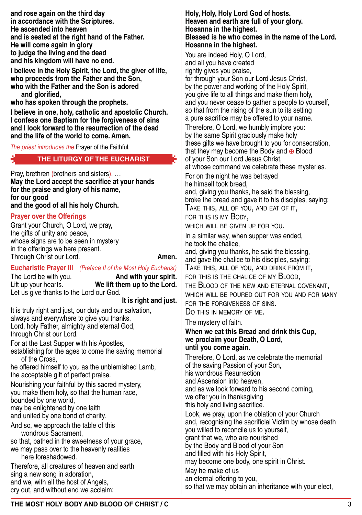**and rose again on the third day in accordance with the Scriptures. He ascended into heaven and is seated at the right hand of the Father. He will come again in glory to judge the living and the dead and his kingdom will have no end.**

**I believe in the Holy Spirit, the Lord, the giver of life, who proceeds from the Father and the Son, who with the Father and the Son is adored** 

**and glorified,**

**who has spoken through the prophets.**

**I believe in one, holy, catholic and apostolic Church. I confess one Baptism for the forgiveness of sins and I look forward to the resurrection of the dead and the life of the world to come. Amen.**

*The priest introduces the* Prayer of the Faithful*.*

## **THE LITURGY OF THE EUCHARIST**

Pray, brethren (brothers and sisters), … **May the Lord accept the sacrifice at your hands for the praise and glory of his name, for our good and the good of all his holy Church.**

## **Prayer over the Offerings**

Grant your Church, O Lord, we pray, the gifts of unity and peace, whose signs are to be seen in mystery in the offerings we here present. Through Christ our Lord. **Amen.**

**Eucharistic Prayer III** *(Preface II of the Most Holy Eucharist)*

The Lord be with you. **And with your spirit.** Lift up your hearts. **We lift them up to the Lord.** Let us give thanks to the Lord our God.

**It is right and just.**

It is truly right and just, our duty and our salvation, always and everywhere to give you thanks, Lord, holy Father, almighty and eternal God, through Christ our Lord.

For at the Last Supper with his Apostles,

establishing for the ages to come the saving memorial of the Cross,

he offered himself to you as the unblemished Lamb, the acceptable gift of perfect praise.

Nourishing your faithful by this sacred mystery, you make them holy, so that the human race, bounded by one world,

may be enlightened by one faith and united by one bond of charity.

And so, we approach the table of this wondrous Sacrament,

so that, bathed in the sweetness of your grace, we may pass over to the heavenly realities here foreshadowed.

Therefore, all creatures of heaven and earth sing a new song in adoration, and we, with all the host of Angels, cry out, and without end we acclaim:

**Holy, Holy, Holy Lord God of hosts. Heaven and earth are full of your glory. Hosanna in the highest. Blessed is he who comes in the name of the Lord. Hosanna in the highest.**

You are indeed Holy, O Lord, and all you have created rightly gives you praise, for through your Son our Lord Jesus Christ. by the power and working of the Holy Spirit, you give life to all things and make them holy, and you never cease to gather a people to yourself, so that from the rising of the sun to its setting a pure sacrifice may be offered to your name.

Therefore, O Lord, we humbly implore you: by the same Spirit graciously make holy these gifts we have brought to you for consecration, that they may become the Body and  $\overline{\mathbf{F}}$  Blood of your Son our Lord Jesus Christ, at whose command we celebrate these mysteries.

For on the night he was betrayed he himself took bread,

and, giving you thanks, he said the blessing, broke the bread and gave it to his disciples, saying: Take this, all of you, and eat of it,

for this is my Body,

which will be given up for you.

In a similar way, when supper was ended, he took the chalice,

and, giving you thanks, he said the blessing, and gave the chalice to his disciples, saying: Take this, all of you, and drink from it, for this is the chalice of my Blood,

the Blood of the new and eternal covenant, which will be poured out for you and for many for the forgiveness of sins.

Do this in memory of me.

The mystery of faith.

**When we eat this Bread and drink this Cup, we proclaim your Death, O Lord, until you come again.**

Therefore, O Lord, as we celebrate the memorial of the saving Passion of your Son, his wondrous Resurrection and Ascension into heaven, and as we look forward to his second coming, we offer you in thanksgiving this holy and living sacrifice. Look, we pray, upon the oblation of your Church and, recognising the sacrificial Victim by whose death you willed to reconcile us to yourself, grant that we, who are nourished

by the Body and Blood of your Son

and filled with his Holy Spirit,

may become one body, one spirit in Christ.

May he make of us an eternal offering to you,

so that we may obtain an inheritance with your elect,